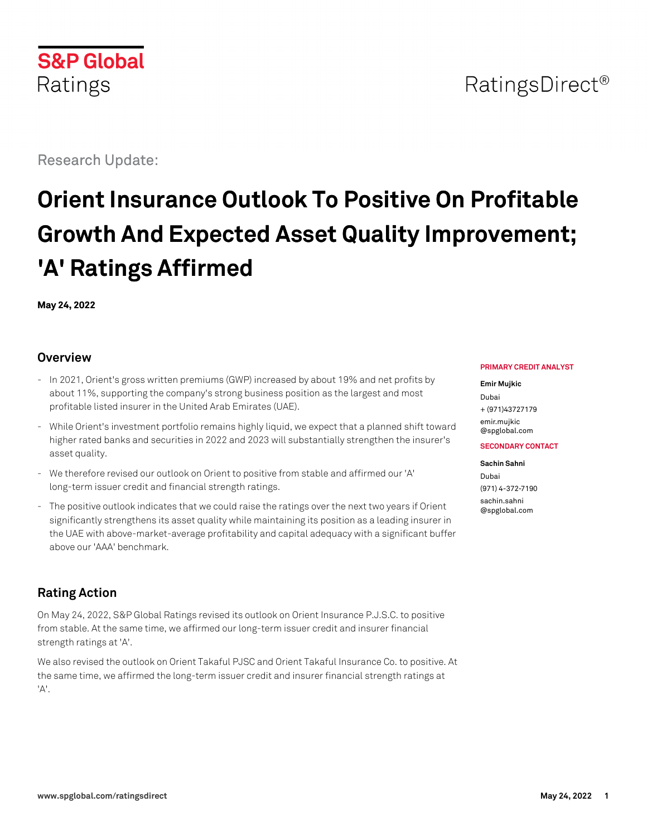Research Update:

# **Orient Insurance Outlook To Positive On Profitable Growth And Expected Asset Quality Improvement; 'A' Ratings Affirmed**

**May 24, 2022**

## **Overview**

- In 2021, Orient's gross written premiums (GWP) increased by about 19% and net profits by about 11%, supporting the company's strong business position as the largest and most profitable listed insurer in the United Arab Emirates (UAE).
- While Orient's investment portfolio remains highly liquid, we expect that a planned shift toward higher rated banks and securities in 2022 and 2023 will substantially strengthen the insurer's asset quality.
- We therefore revised our outlook on Orient to positive from stable and affirmed our 'A' long-term issuer credit and financial strength ratings.
- The positive outlook indicates that we could raise the ratings over the next two years if Orient significantly strengthens its asset quality while maintaining its position as a leading insurer in the UAE with above-market-average profitability and capital adequacy with a significant buffer above our 'AAA' benchmark.

# **Rating Action**

On May 24, 2022, S&P Global Ratings revised its outlook on Orient Insurance P.J.S.C. to positive from stable. At the same time, we affirmed our long-term issuer credit and insurer financial strength ratings at 'A'.

We also revised the outlook on Orient Takaful PJSC and Orient Takaful Insurance Co. to positive. At the same time, we affirmed the long-term issuer credit and insurer financial strength ratings at 'A'.

#### **PRIMARY CREDIT ANALYST**

#### **Emir Mujkic**

Dubai + (971)43727179 [emir.mujkic](mailto:emir.mujkic@spglobal.com) [@spglobal.com](mailto:emir.mujkic@spglobal.com)

**SECONDARY CONTACT**

**Sachin Sahni** Dubai (971) 4-372-7190 [sachin.sahni](mailto:sachin.sahni@spglobal.com) [@spglobal.com](mailto:sachin.sahni@spglobal.com)

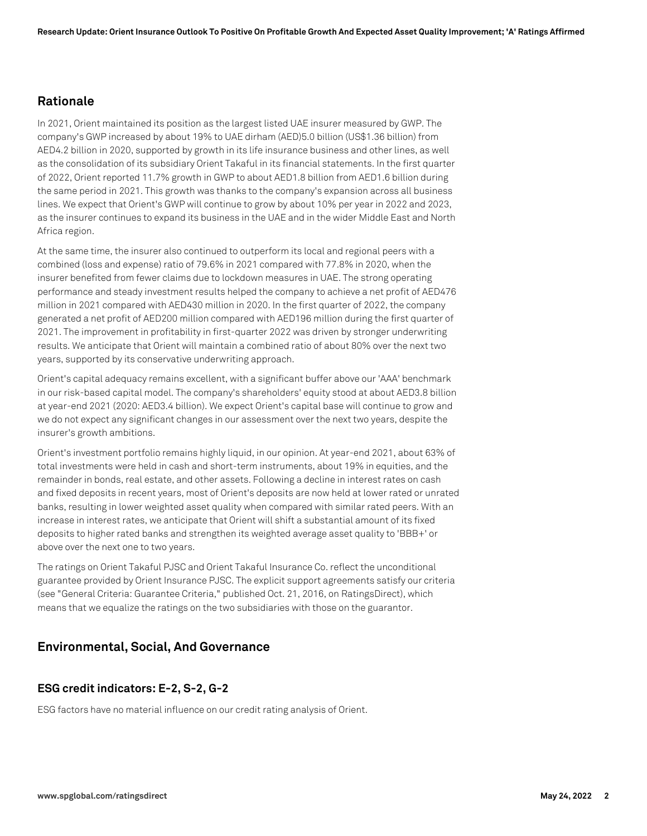#### **Rationale**

In 2021, Orient maintained its position as the largest listed UAE insurer measured by GWP. The company's GWP increased by about 19% to UAE dirham (AED)5.0 billion (US\$1.36 billion) from AED4.2 billion in 2020, supported by growth in its life insurance business and other lines, as well as the consolidation of its subsidiary Orient Takaful in its financial statements. In the first quarter of 2022, Orient reported 11.7% growth in GWP to about AED1.8 billion from AED1.6 billion during the same period in 2021. This growth was thanks to the company's expansion across all business lines. We expect that Orient's GWP will continue to grow by about 10% per year in 2022 and 2023, as the insurer continues to expand its business in the UAE and in the wider Middle East and North Africa region.

At the same time, the insurer also continued to outperform its local and regional peers with a combined (loss and expense) ratio of 79.6% in 2021 compared with 77.8% in 2020, when the insurer benefited from fewer claims due to lockdown measures in UAE. The strong operating performance and steady investment results helped the company to achieve a net profit of AED476 million in 2021 compared with AED430 million in 2020. In the first quarter of 2022, the company generated a net profit of AED200 million compared with AED196 million during the first quarter of 2021. The improvement in profitability in first-quarter 2022 was driven by stronger underwriting results. We anticipate that Orient will maintain a combined ratio of about 80% over the next two years, supported by its conservative underwriting approach.

Orient's capital adequacy remains excellent, with a significant buffer above our 'AAA' benchmark in our risk-based capital model. The company's shareholders' equity stood at about AED3.8 billion at year-end 2021 (2020: AED3.4 billion). We expect Orient's capital base will continue to grow and we do not expect any significant changes in our assessment over the next two years, despite the insurer's growth ambitions.

Orient's investment portfolio remains highly liquid, in our opinion. At year-end 2021, about 63% of total investments were held in cash and short-term instruments, about 19% in equities, and the remainder in bonds, real estate, and other assets. Following a decline in interest rates on cash and fixed deposits in recent years, most of Orient's deposits are now held at lower rated or unrated banks, resulting in lower weighted asset quality when compared with similar rated peers. With an increase in interest rates, we anticipate that Orient will shift a substantial amount of its fixed deposits to higher rated banks and strengthen its weighted average asset quality to 'BBB+' or above over the next one to two years.

The ratings on Orient Takaful PJSC and Orient Takaful Insurance Co. reflect the unconditional guarantee provided by Orient Insurance PJSC. The explicit support agreements satisfy our criteria (see "General Criteria: Guarantee Criteria," published Oct. 21, 2016, on RatingsDirect), which means that we equalize the ratings on the two subsidiaries with those on the guarantor.

#### **Environmental, Social, And Governance**

#### **ESG credit indicators: E-2, S-2, G-2**

ESG factors have no material influence on our credit rating analysis of Orient.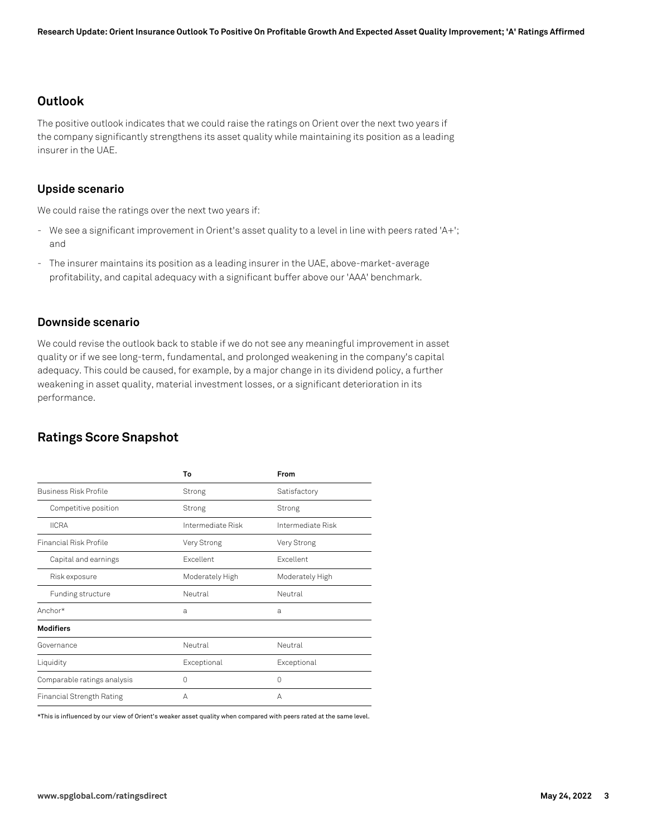#### **Outlook**

The positive outlook indicates that we could raise the ratings on Orient over the next two years if the company significantly strengthens its asset quality while maintaining its position as a leading insurer in the UAE.

#### **Upside scenario**

We could raise the ratings over the next two years if:

- We see a significant improvement in Orient's asset quality to a level in line with peers rated 'A+'; and
- The insurer maintains its position as a leading insurer in the UAE, above-market-average profitability, and capital adequacy with a significant buffer above our 'AAA' benchmark.

#### **Downside scenario**

We could revise the outlook back to stable if we do not see any meaningful improvement in asset quality or if we see long-term, fundamental, and prolonged weakening in the company's capital adequacy. This could be caused, for example, by a major change in its dividend policy, a further weakening in asset quality, material investment losses, or a significant deterioration in its performance.

## **Ratings Score Snapshot**

|                                  | To                | From              |
|----------------------------------|-------------------|-------------------|
| <b>Business Risk Profile</b>     | Strong            | Satisfactory      |
| Competitive position             | Strong            | Strong            |
| <b>IICRA</b>                     | Intermediate Risk | Intermediate Risk |
| <b>Financial Risk Profile</b>    | Very Strong       | Very Strong       |
| Capital and earnings             | <b>Fxcellent</b>  | <b>Fxcellent</b>  |
| Risk exposure                    | Moderately High   | Moderately High   |
| Funding structure                | Neutral           | Neutral           |
| Anchor*                          | a                 | a                 |
| <b>Modifiers</b>                 |                   |                   |
| Governance                       | Neutral           | Neutral           |
| Liquidity                        | Exceptional       | Exceptional       |
| Comparable ratings analysis      | 0                 | 0                 |
| <b>Financial Strength Rating</b> | А                 | А                 |

\*This is influenced by our view of Orient's weaker asset quality when compared with peers rated at the same level.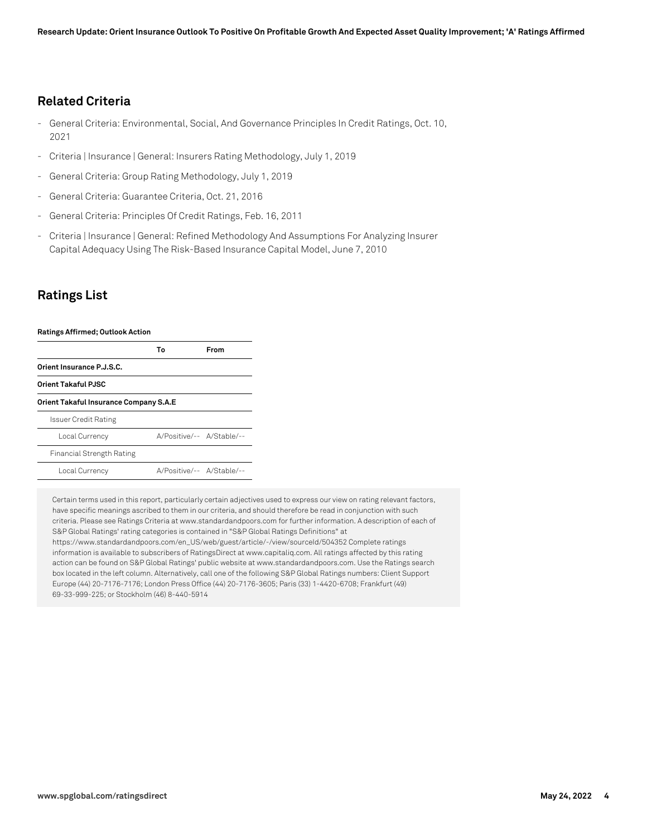#### **Related Criteria**

- General Criteria: Environmental, Social, And Governance Principles In Credit Ratings, Oct. 10, 2021
- Criteria | Insurance | General: Insurers Rating Methodology, July 1, 2019
- General Criteria: Group Rating Methodology, July 1, 2019
- General Criteria: Guarantee Criteria, Oct. 21, 2016
- General Criteria: Principles Of Credit Ratings, Feb. 16, 2011
- Criteria | Insurance | General: Refined Methodology And Assumptions For Analyzing Insurer Capital Adequacy Using The Risk-Based Insurance Capital Model, June 7, 2010

#### **Ratings List**

| <b>Ratings Affirmed; Outlook Action</b> |    |                           |  |
|-----------------------------------------|----|---------------------------|--|
|                                         | Т٥ | From                      |  |
| Orient Insurance P.J.S.C.               |    |                           |  |
| <b>Orient Takaful PJSC</b>              |    |                           |  |
| Orient Takaful Insurance Company S.A.E  |    |                           |  |
| Issuer Credit Rating                    |    |                           |  |
| Local Currency                          |    | A/Positive/-- A/Stable/-- |  |
| <b>Financial Strength Rating</b>        |    |                           |  |
| Local Currency                          |    | A/Positive/-- A/Stable/-- |  |

Certain terms used in this report, particularly certain adjectives used to express our view on rating relevant factors, have specific meanings ascribed to them in our criteria, and should therefore be read in conjunction with such criteria. Please see Ratings Criteria at www.standardandpoors.com for further information. A description of each of S&P Global Ratings' rating categories is contained in "S&P Global Ratings Definitions" at

https://www.standardandpoors.com/en\_US/web/guest/article/-/view/sourceId/504352 Complete ratings information is available to subscribers of RatingsDirect at www.capitaliq.com. All ratings affected by this rating action can be found on S&P Global Ratings' public website at www.standardandpoors.com. Use the Ratings search box located in the left column. Alternatively, call one of the following S&P Global Ratings numbers: Client Support Europe (44) 20-7176-7176; London Press Office (44) 20-7176-3605; Paris (33) 1-4420-6708; Frankfurt (49) 69-33-999-225; or Stockholm (46) 8-440-5914